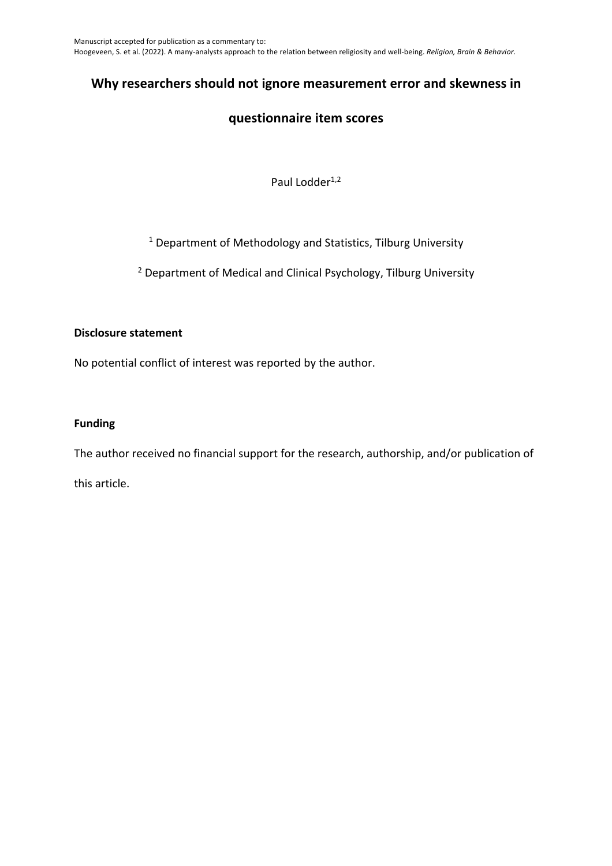# **Why researchers should not ignore measurement error and skewness in**

# **questionnaire item scores**

Paul Lodder<sup>1,2</sup>

## <sup>1</sup> Department of Methodology and Statistics, Tilburg University

<sup>2</sup> Department of Medical and Clinical Psychology, Tilburg University

### **Disclosure statement**

No potential conflict of interest was reported by the author.

### **Funding**

The author received no financial support for the research, authorship, and/or publication of this article.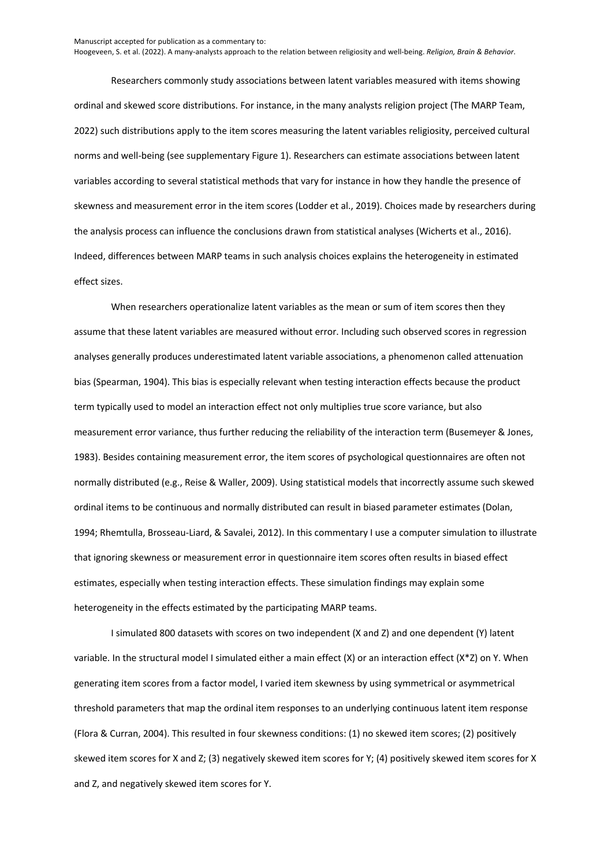Researchers commonly study associations between latent variables measured with items showing ordinal and skewed score distributions. For instance, in the many analysts religion project (The MARP Team, 2022) such distributions apply to the item scores measuring the latent variables religiosity, perceived cultural norms and well-being (see supplementary Figure 1). Researchers can estimate associations between latent variables according to several statistical methods that vary for instance in how they handle the presence of skewness and measurement error in the item scores (Lodder et al., 2019). Choices made by researchers during the analysis process can influence the conclusions drawn from statistical analyses (Wicherts et al., 2016). Indeed, differences between MARP teams in such analysis choices explains the heterogeneity in estimated effect sizes.

When researchers operationalize latent variables as the mean or sum of item scores then they assume that these latent variables are measured without error. Including such observed scores in regression analyses generally produces underestimated latent variable associations, a phenomenon called attenuation bias (Spearman, 1904). This bias is especially relevant when testing interaction effects because the product term typically used to model an interaction effect not only multiplies true score variance, but also measurement error variance, thus further reducing the reliability of the interaction term (Busemeyer & Jones, 1983). Besides containing measurement error, the item scores of psychological questionnaires are often not normally distributed (e.g., Reise & Waller, 2009). Using statistical models that incorrectly assume such skewed ordinal items to be continuous and normally distributed can result in biased parameter estimates (Dolan, 1994; Rhemtulla, Brosseau-Liard, & Savalei, 2012). In this commentary I use a computer simulation to illustrate that ignoring skewness or measurement error in questionnaire item scores often results in biased effect estimates, especially when testing interaction effects. These simulation findings may explain some heterogeneity in the effects estimated by the participating MARP teams.

I simulated 800 datasets with scores on two independent (X and Z) and one dependent (Y) latent variable. In the structural model I simulated either a main effect (X) or an interaction effect (X\*Z) on Y. When generating item scores from a factor model, I varied item skewness by using symmetrical or asymmetrical threshold parameters that map the ordinal item responses to an underlying continuous latent item response (Flora & Curran, 2004). This resulted in four skewness conditions: (1) no skewed item scores; (2) positively skewed item scores for X and Z; (3) negatively skewed item scores for Y; (4) positively skewed item scores for X and Z, and negatively skewed item scores for Y.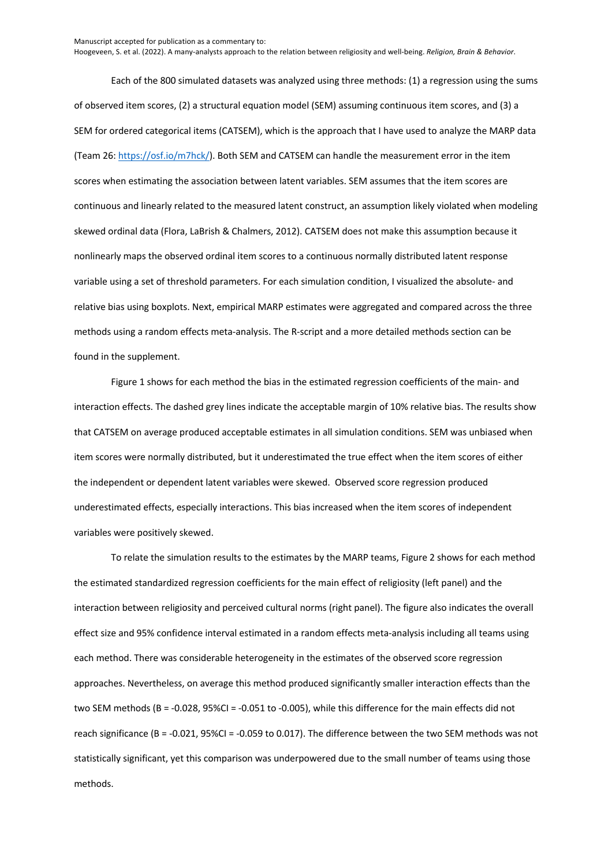Manuscript accepted for publication as a commentary to: Hoogeveen, S. et al. (2022). A many-analysts approach to the relation between religiosity and well-being. *Religion, Brain & Behavior*.

Each of the 800 simulated datasets was analyzed using three methods: (1) a regression using the sums of observed item scores, (2) a structural equation model (SEM) assuming continuous item scores, and (3) a SEM for ordered categorical items (CATSEM), which is the approach that I have used to analyze the MARP data (Team 26: https://osf.io/m7hck/). Both SEM and CATSEM can handle the measurement error in the item scores when estimating the association between latent variables. SEM assumes that the item scores are continuous and linearly related to the measured latent construct, an assumption likely violated when modeling skewed ordinal data (Flora, LaBrish & Chalmers, 2012). CATSEM does not make this assumption because it nonlinearly maps the observed ordinal item scores to a continuous normally distributed latent response variable using a set of threshold parameters. For each simulation condition, I visualized the absolute- and relative bias using boxplots. Next, empirical MARP estimates were aggregated and compared across the three methods using a random effects meta-analysis. The R-script and a more detailed methods section can be found in the supplement.

Figure 1 shows for each method the bias in the estimated regression coefficients of the main- and interaction effects. The dashed grey lines indicate the acceptable margin of 10% relative bias. The results show that CATSEM on average produced acceptable estimates in all simulation conditions. SEM was unbiased when item scores were normally distributed, but it underestimated the true effect when the item scores of either the independent or dependent latent variables were skewed. Observed score regression produced underestimated effects, especially interactions. This bias increased when the item scores of independent variables were positively skewed.

To relate the simulation results to the estimates by the MARP teams, Figure 2 shows for each method the estimated standardized regression coefficients for the main effect of religiosity (left panel) and the interaction between religiosity and perceived cultural norms (right panel). The figure also indicates the overall effect size and 95% confidence interval estimated in a random effects meta-analysis including all teams using each method. There was considerable heterogeneity in the estimates of the observed score regression approaches. Nevertheless, on average this method produced significantly smaller interaction effects than the two SEM methods (B = -0.028, 95%CI = -0.051 to -0.005), while this difference for the main effects did not reach significance (B = -0.021, 95%CI = -0.059 to 0.017). The difference between the two SEM methods was not statistically significant, yet this comparison was underpowered due to the small number of teams using those methods.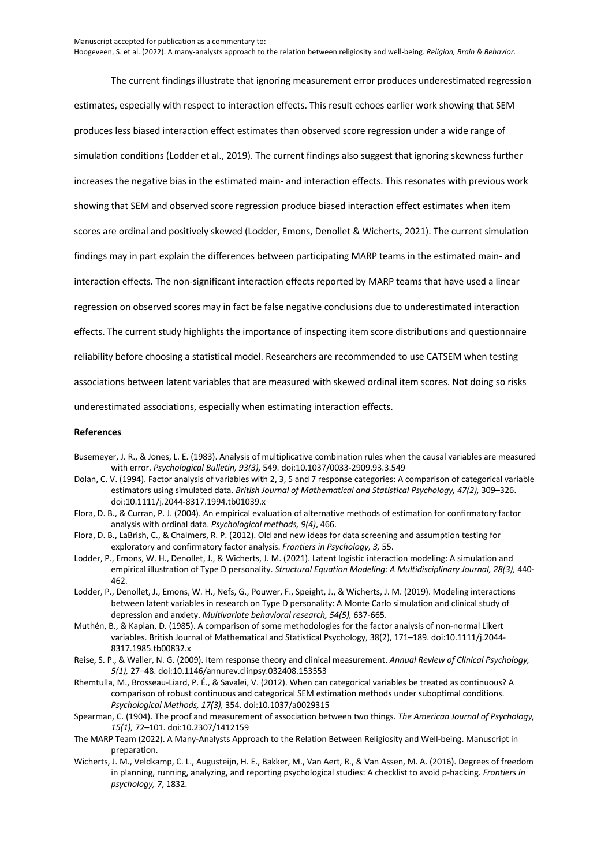The current findings illustrate that ignoring measurement error produces underestimated regression estimates, especially with respect to interaction effects. This result echoes earlier work showing that SEM produces less biased interaction effect estimates than observed score regression under a wide range of simulation conditions (Lodder et al., 2019). The current findings also suggest that ignoring skewness further increases the negative bias in the estimated main- and interaction effects. This resonates with previous work showing that SEM and observed score regression produce biased interaction effect estimates when item scores are ordinal and positively skewed (Lodder, Emons, Denollet & Wicherts, 2021). The current simulation findings may in part explain the differences between participating MARP teams in the estimated main- and interaction effects. The non-significant interaction effects reported by MARP teams that have used a linear regression on observed scores may in fact be false negative conclusions due to underestimated interaction effects. The current study highlights the importance of inspecting item score distributions and questionnaire reliability before choosing a statistical model. Researchers are recommended to use CATSEM when testing associations between latent variables that are measured with skewed ordinal item scores. Not doing so risks underestimated associations, especially when estimating interaction effects.

#### **References**

- Busemeyer, J. R., & Jones, L. E. (1983). Analysis of multiplicative combination rules when the causal variables are measured with error. *Psychological Bulletin, 93(3),* 549. doi:10.1037/0033-2909.93.3.549
- Dolan, C. V. (1994). Factor analysis of variables with 2, 3, 5 and 7 response categories: A comparison of categorical variable estimators using simulated data. *British Journal of Mathematical and Statistical Psychology, 47(2),* 309–326. doi:10.1111/j.2044-8317.1994.tb01039.x
- Flora, D. B., & Curran, P. J. (2004). An empirical evaluation of alternative methods of estimation for confirmatory factor analysis with ordinal data. *Psychological methods, 9(4)*, 466.
- Flora, D. B., LaBrish, C., & Chalmers, R. P. (2012). Old and new ideas for data screening and assumption testing for exploratory and confirmatory factor analysis. *Frontiers in Psychology, 3,* 55.
- Lodder, P., Emons, W. H., Denollet, J., & Wicherts, J. M. (2021). Latent logistic interaction modeling: A simulation and empirical illustration of Type D personality. *Structural Equation Modeling: A Multidisciplinary Journal, 28(3),* 440- 462.
- Lodder, P., Denollet, J., Emons, W. H., Nefs, G., Pouwer, F., Speight, J., & Wicherts, J. M. (2019). Modeling interactions between latent variables in research on Type D personality: A Monte Carlo simulation and clinical study of depression and anxiety. *Multivariate behavioral research, 54(5),* 637-665.
- Muthén, B., & Kaplan, D. (1985). A comparison of some methodologies for the factor analysis of non-normal Likert variables. British Journal of Mathematical and Statistical Psychology, 38(2), 171–189. doi:10.1111/j.2044- 8317.1985.tb00832.x
- Reise, S. P., & Waller, N. G. (2009). Item response theory and clinical measurement. *Annual Review of Clinical Psychology, 5(1),* 27–48. doi:10.1146/annurev.clinpsy.032408.153553
- Rhemtulla, M., Brosseau-Liard, P. É., & Savalei, V. (2012). When can categorical variables be treated as continuous? A comparison of robust continuous and categorical SEM estimation methods under suboptimal conditions. *Psychological Methods, 17(3),* 354. doi:10.1037/a0029315
- Spearman, C. (1904). The proof and measurement of association between two things. *The American Journal of Psychology, 15(1),* 72–101. doi:10.2307/1412159
- The MARP Team (2022). A Many-Analysts Approach to the Relation Between Religiosity and Well-being. Manuscript in preparation.
- Wicherts, J. M., Veldkamp, C. L., Augusteijn, H. E., Bakker, M., Van Aert, R., & Van Assen, M. A. (2016). Degrees of freedom in planning, running, analyzing, and reporting psychological studies: A checklist to avoid p-hacking. *Frontiers in psychology, 7*, 1832.